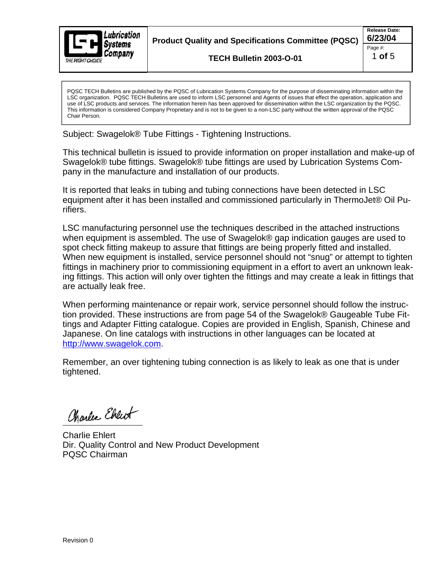

**Product Quality and Specifications Committee (PQSC) 6/23/04**

**TECH Bulletin 2003-O-01**

PQSC TECH Bulletins are published by the PQSC of Lubrication Systems Company for the purpose of disseminating information within the LSC organization. PQSC TECH Bulletins are used to inform LSC personnel and Agents of issues that effect the operation, application and use of LSC products and services. The information herein has been approved for dissemination within the LSC organization by the PQSC. This information is considered Company Proprietary and is not to be given to a non-LSC party without the written approval of the PQSC Chair Person.

Subject: Swagelok® Tube Fittings - Tightening Instructions.

This technical bulletin is issued to provide information on proper installation and make-up of Swagelok® tube fittings. Swagelok® tube fittings are used by Lubrication Systems Com pany in the manufacture and installation of our products.

It is reported that leaks in tubing and tubing connections have been detected in LSC equipment after it has been installed and commissioned particularly in ThermoJet® Oil Purifiers.

LSC manufacturing personnel use the techniques described in the attached instructions when equipment is assembled. The use of Swagelok® gap indication gauges are used to spot check fitting makeup to assure that fittings are being properly fitted and installed. When new equipment is installed, service personnel should not "snug" or attempt to tighten fittings in machinery prior to commissioning equipment in a effort to avert an unknown leaking fittings. This action will only over tighten the fittings and may create a leak in fittings that are actually leak free.

When performing maintenance or repair work, service personnel should follow the instruction provided. These instructions are from page 54 of the Swagelok® Gaugeable Tube Fittings and Adapter Fitting catalogue. Copies are provided in English, Spanish, Chinese and Japanese. On line catalogs with instructions in other languages can be located at http://www.swagelok.com.

Remember, an over tightening tubing connection is as likely to leak as one that is under tightened.

Charles Ebreit

Charlie Ehlert Dir. Quality Control and New Product Development PQSC Chairman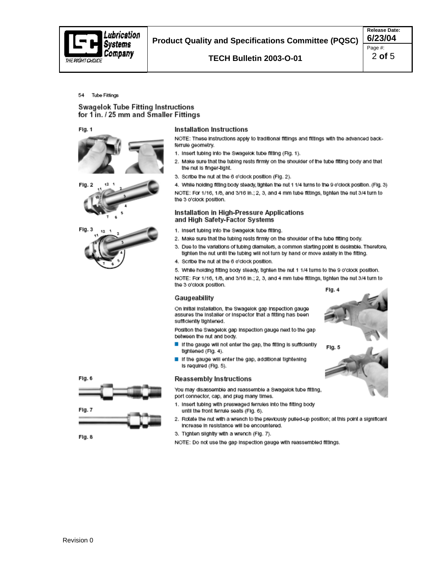

# 54 Tube Fittings

# **Swagelok Tube Fitting Instructions** for 1 in. / 25 mm and Smaller Fittings

Fig. 1



## **Installation Instructions**

NOTE: These instructions apply to traditional fittings and fittings with the advanced backferrule geometry.

- 1. Insert tubing into the Swagelok tube fitting (Fig. 1).
- 2. Make sure that the tubing rests firmly on the shoulder of the tube fitting body and that the nut is finger-tight.
- 3. Scribe the nut at the 6 o'clock position (Fig. 2).

4. While holding fitting body steady, tighten the nut 1 1/4 turns to the 9 o'clock position. (Fig. 3)

NOTE: For 1/16, 1/8, and 3/16 in.; 2, 3, and 4 mm tube fittings, tighten the nut 3/4 turn to the 3 o'clock position.

## Installation in High-Pressure Applications and High Safety-Factor Systems

- 1. Insert tubing into the Swagelok tube fitting.
- 2. Make sure that the tubing rests firmly on the shoulder of the tube fitting body.
- 3. Due to the variations of tubing diameters, a common starting point is desirable. Therefore, tighten the nut until the tubing will not turn by hand or move axially in the fitting.
- 4. Scribe the nut at the 6 o'clock position.

5. While holding fitting body steady, tighten the nut 1 1/4 turns to the 9 o'clock position. NOTE: For 1/16, 1/8, and 3/16 in.; 2, 3, and 4 mm tube fittings, tighten the nut 3/4 turn to the 3 o'clock position.

## Gaugeability

On initial installation, the Swagelok gap inspection gauge assures the Installer or Inspector that a fitting has been sufficiently tightened.

Position the Swagelok gap Inspection gauge next to the gap between the nut and body.

- If the gauge will not enter the gap, the fitting is sufficiently tightened (Fig. 4).
- If the gauge will enter the gap, additional tightening Is required (Fig. 5).

# **Reassembly Instructions**

You may disassemble and reassemble a Swagelok tube fitting. port connector, cap, and plug many times.

- 1. Insert tubing with preswaged ferrules into the fitting body until the front ferrule seats (Fig. 6).
- 2. Rotate the nut with a wrench to the previously pulled-up position; at this point a significant Increase in resistance will be encountered.
- 3. Tighten slightly with a wrench (Fig. 7).

NOTE: Do not use the gap inspection gauge with reassembled fittings.







Fig. 6

Fig. 7

Fig. 8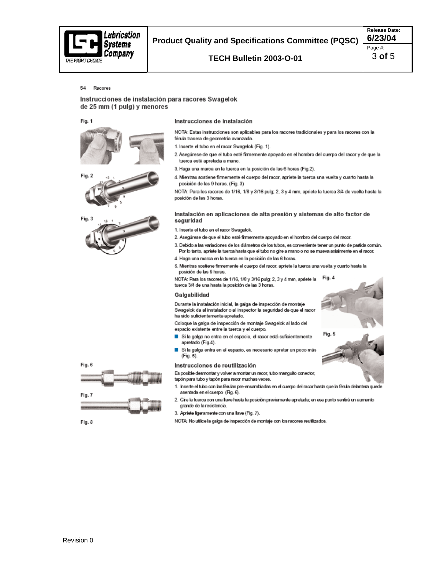

# **Product Quality and Specifications Committee (PQSC)**

TECH Bulletin 2003-O-01

**Release Date:** 6/23/04 Page #: 3 of 5

#### 54 Racores

## Instrucciones de instalación para racores Swagelok de 25 mm (1 pulg) y menores

Fig. 1





## Instrucciones de instalación

NOTA: Estas instrucciones son aplicables para los racores tradicionales y para los racores con la férula trasera de geometría avanzada.

- 1. Inserte el tubo en el racor Swagelok (Fig. 1).
- 2. Asegúrese de que el tubo esté firmemente apoyado en el hombro del cuerpo del racor y de que la tuerca esté apretada a mano.
- 3. Haga una marca en la tuerca en la posición de las 6 horas (Fig.2).
- 4. Mientras sostiene firmemente el cuerpo del racor, apriete la tuerca una vuelta y cuarto hasta la posición de las 9 horas. (Fig. 3)

NOTA: Para los racores de 1/16, 1/8 y 3/16 pulg; 2, 3 y 4 mm, apriete la tuerca 3/4 de vuelta hasta la posición de las 3 horas.

#### Instalación en aplicaciones de alta presión y sistemas de alto factor de seguridad

- 1. Inserte el tubo en el racor Swagelok.
- 2. Asegúrese de que el tubo esté firmemente apoyado en el hombro del cuerpo del racor.
- 3. Debido a las variaciones de los diámetros de los tubos, es conveniente tener un punto de partida común. Por lo tanto, apriete la tuerca hasta que el tubo no gire a mano o no se mueva axialmente en el racor.
- 4. Haga una marca en la tuerca en la posición de las 6 horas.
- 5. Mientras sostiene firmemente el cuerpo del racor, apriete la tuerca una vuelta y cuarto hasta la posición de las 9 horas.

Fig. 4 NOTA: Para los racores de 1/16, 1/8 y 3/16 pulg; 2, 3 y 4 mm, apriete la tuerca 3/4 de una hasta la posición de las 3 horas.

### Galgabilidad

Durante la instalación inicial, la galga de inspección de montaje Swagelok da al instalador o al inspector la seguridad de que el racor ha sido suficientemente apretado.

Coloque la galga de inspección de montaje Swagelok al lado del espacio existente entre la tuerca y el cuerpo.

- Si la galga no entra en el espacio, el racor está suficientemente apretado (Fig.4).
- Si la galga entra en el espacio, es necesario apretar un poco más п (Fig. 5).

#### Instrucciones de reutilización

Es posible desmontar y volver a montar un racor, tubo manguito conector, tapón para tubo y tapón para racor muchas veces.

- 1. Inserte el tubo con las férulas pre-ensambladas en el cuerpo del racor hasta que la férula delantera quede asentada en el cuerpo (Fig. 6).
- 2. Gire la tuerca con una llave hasta la posición previamente apretada; en ese punto sentirá un aumento grande de la resistencia.
- 3. Apriete ligeramente con una llave (Fig. 7).
- NOTA: No utilice la galga de inspección de montaje con los racores reutilizados.



Fig. 8

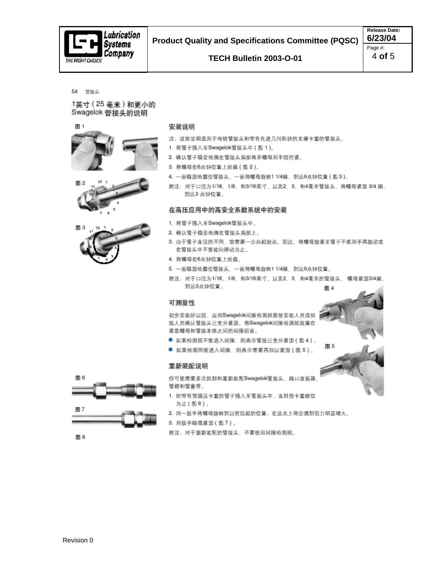

## 54 管接头

1英寸 (25 毫米)和更小的 Swagelok 管接头的说明





- 注:这些说明适用于传统管接头和带有先进几何形状的支撑卡套的管接头。
- 1. 将管子插入至Swagelok管接头中 (图 1)。
- 2. 确认管子稳妥地搁在管接头肩部将并螺母用手指拧紧。
- 3. 将螺母在6点钟位置上刻痕 (图 2)。
- 4. 一面稳固地握住管接头,一面将螺母旋转11/4圈,到达9点钟位置(图3)。
- 附注: 对于口径为1/16, 1/8, 和3/16美寸, 以及2, 3, 和4毫米管接头, 将螺母紧因 3/4 圈, 到达3点钟位置。

## 在高压应用中的高安全系数系统中的安装

- 1. 将管子插入至Swagelok管接头中。
- 2. 确认管子稳妥地搁在管接头肩部上。
- 3. 由于管子直径的不同, 故需要一公共起始点。因此, 将螺母旋紧至管子不能用手再旋动或 在管接头中不能轴向移动为止。
- 4. 将螺母在6点钟位置上刻痕。
- 5. 一面稳固地握住管接头, 一面将螺母旋转11/4圈, 到达9点钟位置,
- 附注: 对于口径为1/16、1/8, 和3/16英寸, 以及2、3, 和4毫米的管接头, 螺母紧固3/4圈, 到达3点钟位置。 图 4

图 5

## 可测量性

初步安装好以后,应用Swagelok问隙检测规能使安装人员或检 验人员确认管接头已充分紧固。将Swagelok间隙检测规放置在 紧靠螺母和管接本体之间的间隙后面。

- 如果检测规不能进入间隙,则表示管接已充分紧固(图4)。
- 如果桧测同能进入间隙,则表示需要再加以紧固(图 5)。

## 重新装配说明

你可能需要多次拆卸和重新装配Swagelok管接头、端口连接器 管帽和管塞等。

- 1. 把带有预锻压卡套的管子插入至管接头中, 直到前卡套就位 为止(图6)。
- 2. 用一扳手将螺母旋转到以前拉起的位置;在这点上将会遇到阻力明显增大。
- 3. 用扳手略微紧固(图7)。

附注: 对于重新装配的管接头, 不要使用间隙检测规。



图 6